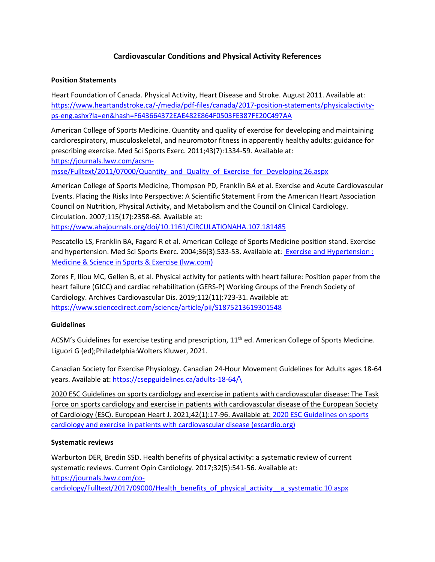# **Cardiovascular Conditions and Physical Activity References**

### **Position Statements**

Heart Foundation of Canada. Physical Activity, Heart Disease and Stroke. August 2011. Available at: [https://www.heartandstroke.ca/-/media/pdf-files/canada/2017-position-statements/physicalactivity](https://www.heartandstroke.ca/-/media/pdf-files/canada/2017-position-statements/physicalactivity-ps-eng.ashx?la=en&hash=F643664372EAE482E864F0503FE387FE20C497AA)[ps-eng.ashx?la=en&hash=F643664372EAE482E864F0503FE387FE20C497AA](https://www.heartandstroke.ca/-/media/pdf-files/canada/2017-position-statements/physicalactivity-ps-eng.ashx?la=en&hash=F643664372EAE482E864F0503FE387FE20C497AA)

American College of Sports Medicine. Quantity and quality of exercise for developing and maintaining cardiorespiratory, musculoskeletal, and neuromotor fitness in apparently healthy adults: guidance for prescribing exercise. Med Sci Sports Exerc. 2011;43(7):1334-59. Available at: [https://journals.lww.com/acsm-](https://journals.lww.com/acsm-msse/Fulltext/2011/07000/Quantity_and_Quality_of_Exercise_for_Developing.26.aspx)

[msse/Fulltext/2011/07000/Quantity\\_and\\_Quality\\_of\\_Exercise\\_for\\_Developing.26.aspx](https://journals.lww.com/acsm-msse/Fulltext/2011/07000/Quantity_and_Quality_of_Exercise_for_Developing.26.aspx)

American College of Sports Medicine, Thompson PD, Franklin BA et al. Exercise and Acute Cardiovascular Events. Placing the Risks Into Perspective: A Scientific Statement From the American Heart Association Council on Nutrition, Physical Activity, and Metabolism and the Council on Clinical Cardiology. Circulation. 2007;115(17):2358-68. Available at: <https://www.ahajournals.org/doi/10.1161/CIRCULATIONAHA.107.181485>

Pescatello LS, Franklin BA, Fagard R et al. American College of Sports Medicine position stand. Exercise and hypertension. Med Sci Sports Exerc. 2004;36(3):533-53. Available at: [Exercise and Hypertension :](https://journals.lww.com/acsm-msse/Fulltext/2004/03000/Exercise_and_Hypertension.25.aspx)  [Medicine & Science in Sports & Exercise \(lww.com\)](https://journals.lww.com/acsm-msse/Fulltext/2004/03000/Exercise_and_Hypertension.25.aspx)

Zores F, Iliou MC, Gellen B, et al. Physical activity for patients with heart failure: Position paper from the heart failure (GICC) and cardiac rehabilitation (GERS-P) Working Groups of the French Society of Cardiology. Archives Cardiovascular Dis. 2019;112(11):723-31. Available at: <https://www.sciencedirect.com/science/article/pii/S1875213619301548>

## **Guidelines**

ACSM's Guidelines for exercise testing and prescription, 11<sup>th</sup> ed. American College of Sports Medicine. Liguori G (ed);Philadelphia:Wolters Kluwer, 2021.

Canadian Society for Exercise Physiology. Canadian 24-Hour Movement Guidelines for Adults ages 18-64 years. Available at: [https://csepguidelines.ca/adults-18-64/\](https://csepguidelines.ca/adults-18-64/)

2020 ESC Guidelines on sports cardiology and exercise in patients with cardiovascular disease: The Task Force on sports cardiology and exercise in patients with cardiovascular disease of the European Society of Cardiology (ESC). European Heart J. 2021;42(1):17-96. Available at: [2020 ESC Guidelines on sports](https://www.escardio.org/Guidelines/Clinical-Practice-Guidelines/sports-cardiology-and-exercise-in-patients-with-cardiovascular-disease)  [cardiology and exercise in patients with cardiovascular disease \(escardio.org\)](https://www.escardio.org/Guidelines/Clinical-Practice-Guidelines/sports-cardiology-and-exercise-in-patients-with-cardiovascular-disease)

## **Systematic reviews**

Warburton DER, Bredin SSD. Health benefits of physical activity: a systematic review of current systematic reviews. Current Opin Cardiology. 2017;32(5):541-56. Available at: [https://journals.lww.com/co-](https://journals.lww.com/co-cardiology/Fulltext/2017/09000/Health_benefits_of_physical_activity__a_systematic.10.aspx)

[cardiology/Fulltext/2017/09000/Health\\_benefits\\_of\\_physical\\_activity\\_\\_a\\_systematic.10.aspx](https://journals.lww.com/co-cardiology/Fulltext/2017/09000/Health_benefits_of_physical_activity__a_systematic.10.aspx)